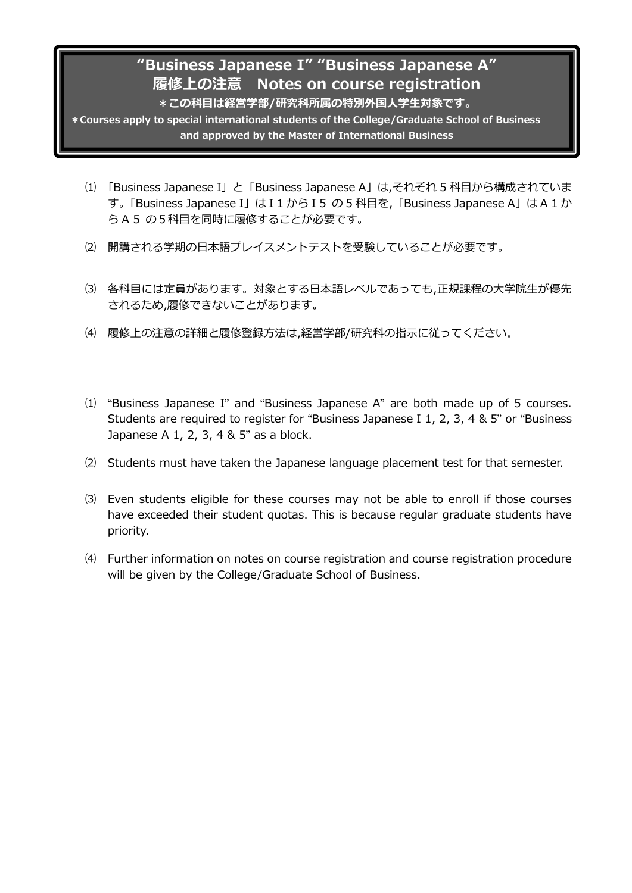# **"Business Japanese I" "Business Japanese A" 履修上の注意 Notes on course registration \*この科目は経営学部/研究科所属の特別外国人学生対象です。**

**\*Courses apply to special international students of the College/Graduate School of Business and approved by the Master of International Business**

I

- , A" ⑴ 「Business Japanese I」 と「Business Japanese A」は,それぞれ 5 科目から構成されていま ら A 5 の5科目を同時に履修することが必要です。 す。「Business Japanese I」は I 1 から I 5 の 5 科目を,「Business Japanese A」は A 1 か
- ⑵ 開講される学期の日本語プレイスメントテストを受験していることが必要です。
- ⑶ 各科目には定員があります。対象とする日本語レベルであっても,正規課程の大学院生が優先 されるため,履修できないことがあります。
- ⑷ 履修上の注意の詳細と履修登録方法は,経営学部/研究科の指示に従ってください。
- ⑴ "Business Japanese I" and "Business Japanese A" are both made up of 5 courses. Students are required to register for "Business Japanese I 1, 2, 3, 4 & 5" or "Business Japanese A 1, 2, 3, 4 & 5" as a block.
- ⑵ Students must have taken the Japanese language placement test for that semester.
- ⑶ Even students eligible for these courses may not be able to enroll if those courses have exceeded their student quotas. This is because regular graduate students have priority.
- ⑷ Further information on notes on course registration and course registration procedure will be given by the College/Graduate School of Business.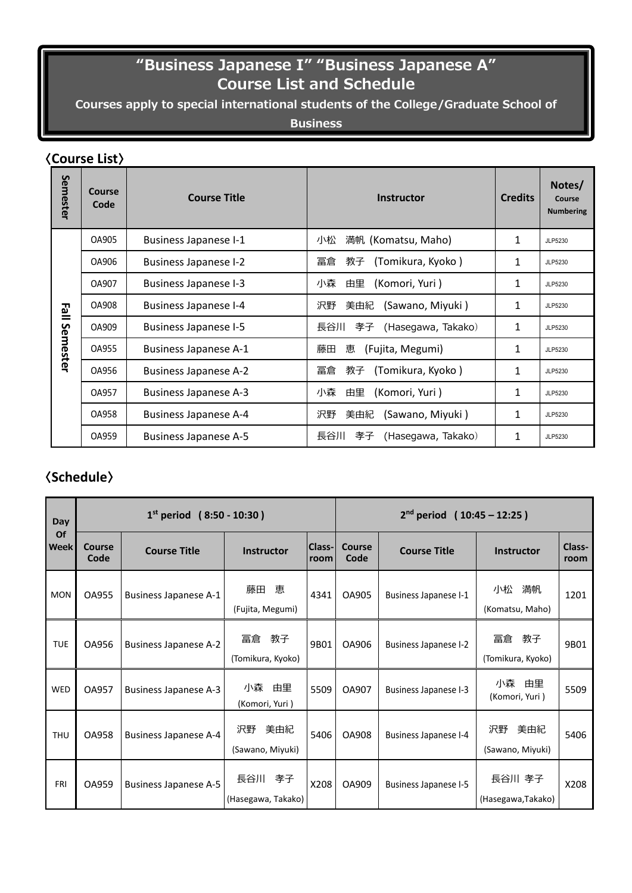# **"Business Japanese I" "Business Japanese A" Course List and Schedule**

**Courses apply to special international students of the College/Graduate School of** 

## **Business and approved by the Master of International Business**

# 〈**Course List**〉

|                              | COMISC LIST    |                              |                                 |                |                                      |  |  |  |
|------------------------------|----------------|------------------------------|---------------------------------|----------------|--------------------------------------|--|--|--|
| Semester                     | Course<br>Code | <b>Course Title</b>          | <b>Instructor</b>               | <b>Credits</b> | Notes/<br>Course<br><b>Numbering</b> |  |  |  |
| $\mathbf{E}$ all<br>Semester | OA905          | <b>Business Japanese I-1</b> | 満帆 (Komatsu, Maho)<br>小松        | $\mathbf{1}$   | JLP5230                              |  |  |  |
|                              | OA906          | <b>Business Japanese I-2</b> | 冨倉<br>(Tomikura, Kyoko)<br>教子   | $\mathbf{1}$   | JLP5230                              |  |  |  |
|                              | OA907          | <b>Business Japanese I-3</b> | 由里<br>(Komori, Yuri)<br>小森      | 1              | JLP5230                              |  |  |  |
|                              | OA908          | <b>Business Japanese I-4</b> | 沢野<br>(Sawano, Miyuki)<br>美由紀   | 1              | JLP5230                              |  |  |  |
|                              | OA909          | <b>Business Japanese I-5</b> | 長谷川<br>(Hasegawa, Takako)<br>孝子 | 1              | JLP5230                              |  |  |  |
|                              | OA955          | <b>Business Japanese A-1</b> | 藤田<br>(Fujita, Megumi)<br>恵     | 1              | JLP5230                              |  |  |  |
|                              | OA956          | <b>Business Japanese A-2</b> | 冨倉<br>(Tomikura, Kyoko)<br>教子   | 1              | JLP5230                              |  |  |  |
|                              | OA957          | <b>Business Japanese A-3</b> | 小森<br>由里<br>(Komori, Yuri)      | 1              | JLP5230                              |  |  |  |
|                              | OA958          | <b>Business Japanese A-4</b> | 沢野<br>(Sawano, Miyuki)<br>美由紀   | 1              | JLP5230                              |  |  |  |
|                              | OA959          | <b>Business Japanese A-5</b> | 長谷川<br>(Hasegawa, Takako)<br>孝子 | 1              | JLP5230                              |  |  |  |

# 〈**Schedule**〉

| Day<br>Of<br><b>Week</b> | $1^{st}$ period (8:50 - 10:30) |                              |                               |                | $2nd$ period (10:45 – 12:25) |                              |                               |                |
|--------------------------|--------------------------------|------------------------------|-------------------------------|----------------|------------------------------|------------------------------|-------------------------------|----------------|
|                          | Course<br>Code                 | <b>Course Title</b>          | <b>Instructor</b>             | Class-<br>room | Course<br>Code               | <b>Course Title</b>          | <b>Instructor</b>             | Class-<br>room |
| <b>MON</b>               | <b>OA955</b>                   | <b>Business Japanese A-1</b> | 藤田恵<br>(Fujita, Megumi)       | 4341           | OA905                        | Business Japanese I-1        | 小松<br>満帆<br>(Komatsu, Maho)   | 1201           |
| <b>TUE</b>               | OA956                          | <b>Business Japanese A-2</b> | 冨倉教子<br>(Tomikura, Kyoko)     | 9B01           | OA906                        | <b>Business Japanese I-2</b> | 冨倉教子<br>(Tomikura, Kyoko)     | 9B01           |
| <b>WED</b>               | <b>OA957</b>                   | <b>Business Japanese A-3</b> | 小森 由里<br>(Komori, Yuri)       | 5509           | OA907                        | <b>Business Japanese I-3</b> | 小森<br>由里<br>(Komori, Yuri)    | 5509           |
| <b>THU</b>               | <b>OA958</b>                   | <b>Business Japanese A-4</b> | 沢野<br>美由紀<br>(Sawano, Miyuki) | 5406           | OA908                        | <b>Business Japanese I-4</b> | 沢野<br>美由紀<br>(Sawano, Miyuki) | 5406           |
| <b>FRI</b>               | OA959                          | <b>Business Japanese A-5</b> | 長谷川 孝子<br>(Hasegawa, Takako)  | X208           | OA909                        | <b>Business Japanese I-5</b> | 長谷川 孝子<br>(Hasegawa, Takako)  | X208           |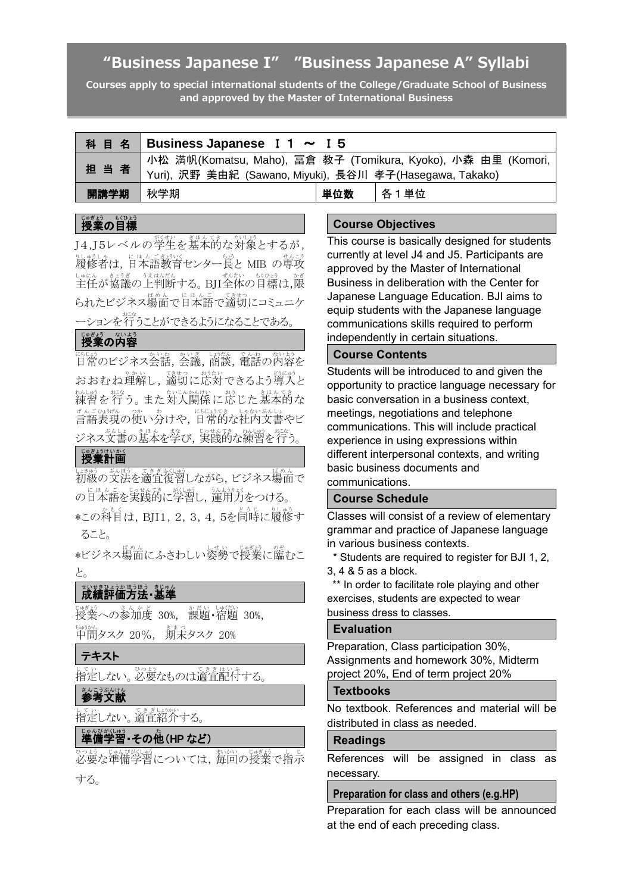# **"Business Japanese I" "Business Japanese A" Syllabi**

**Courses apply to special international students of the College/Graduate School of Business and approved by the Master of International Business**

|      | 科目名 Business Japanese I 1 ~ I 5                                                                                             |     |      |  |  |
|------|-----------------------------------------------------------------------------------------------------------------------------|-----|------|--|--|
| 担当者  | 小松 満帆(Komatsu, Maho), 冨倉 教子 (Tomikura, Kyoko), 小森 由里 (Komori,<br>  Yuri), 沢野 美由紀 (Sawano, Miyuki), 長谷川 孝子(Hasegawa, Takako) |     |      |  |  |
| 開講学期 | 秋学期                                                                                                                         | 単位数 | 各1単位 |  |  |

# 。。。。。<br>**授業の目標**

」<br>J4,J5レベルの学生を基本的な対象とするが, 。<br>履修者は,日本語教育センター長と MIB の専攻 しゃにん。<br>主任が協議の上判断する。BJI全体の目標は,限 。<br>られたビジネス場面で日本語で適切にコミュニケ ーションを行 おこな うことができるようになることである。

## 授業 じゅぎょう の内容 な い よ う

はい。<br>日常のビジネス会話, 会議, 商談, 電話の内容を おおむね理解し,適切に応対できるよう導入と \*\*\*\*\*。 まま。 まいじゃかい、 ま。 こま。 てき<br>練習を行う。 また対人関係に応じた基本的な 『たごは歌』の使い分けや,時時では「・・・。。。」<br>言語表現の使い分けや,日常的な社内文書やビ ジネス文書の基本を学び,実践的な練習を行う。

### しゅぎょうけいかく

い<sub>ためのを</sub><br><sub>というの</sub>文法を適宜復習しながら, ビジネス場面で の日本語 に ほ ん ご を実践的 じ っ せ ん て き に学習 がくしゅう し,運用力 う ん よ う り ょ く をつける。 \*この科目は, BJI1, 2, 3, 4, 5を同時に履修す ること。

\*ビジネス場面にふさわしい姿勢で授業に臨むこ と。

# 世界を持ち、ままま、<br>**成績評価方法・基準**

。<br>授業への参加度 30%, 課題・宿題 30%, <u>。。。。</u><br>中間タスク 20%, 射末タスク 20%

### テキスト

して、<br>指定しない。必要なものは適宜配付する。

### ≛んこうぶんけん<br>**参考文献**

してい<br>指定しない。適宜紹介する。

# じゅんび (しゅう)<br>準備学習 • その他 (HP など)

必要 ひつよう な準備 じゅんび 学習 がくしゅう については,毎回 まいかい の授業 じゅぎょう で指示 し じ する。

### **Course Objectives**

This course is basically designed for students currently at level J4 and J5. Participants are approved by the Master of International Business in deliberation with the Center for Japanese Language Education. BJI aims to equip students with the Japanese language communications skills required to perform independently in certain situations.

### **Course Contents**

Students will be introduced to and given the opportunity to practice language necessary for basic conversation in a business context, meetings, negotiations and telephone communications. This will include practical experience in using expressions within different interpersonal contexts, and writing basic business documents and communications.

#### **Course Schedule**

Classes will consist of a review of elementary grammar and practice of Japanese language in various business contexts.

\* Students are required to register for BJI 1, 2, 3, 4 & 5 as a block.

\*\* In order to facilitate role playing and other exercises, students are expected to wear business dress to classes.

#### **Evaluation**

Preparation, Class participation 30%, Assignments and homework 30%, Midterm project 20%, End of term project 20%

### **Textbooks**

No textbook. References and material will be distributed in class as needed.

### **Readings**

References will be assigned in class as necessary.

#### **Preparation for class and others (e.g.HP)**

Preparation for each class will be announced at the end of each preceding class.